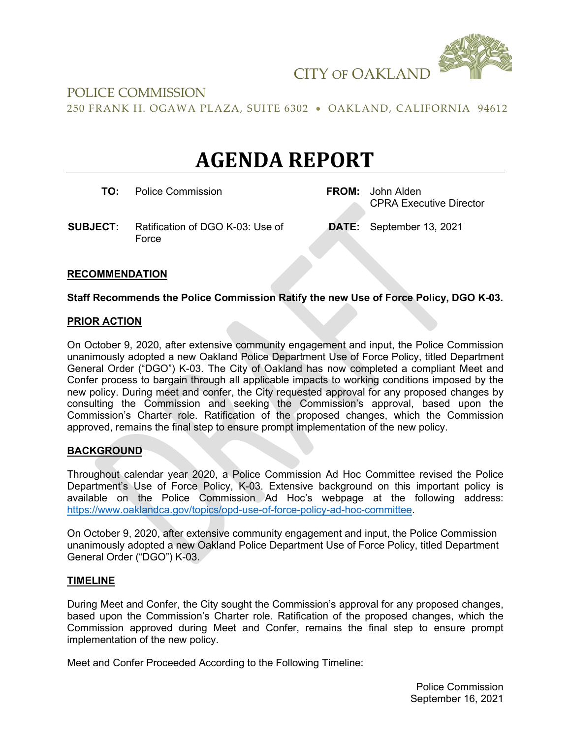

# POLICE COMMISSION

250 FRANK H. OGAWA PLAZA, SUITE 6302 • OAKLAND, CALIFORNIA 94612

# **AGENDA REPORT**

**TO:** Police Commission **FROM:** John Alden

CPRA Executive Director

**SUBJECT:** Ratification of DGO K-03: Use of Force

**DATE:** September 13, 2021

## **RECOMMENDATION**

#### **Staff Recommends the Police Commission Ratify the new Use of Force Policy, DGO K-03.**

#### **PRIOR ACTION**

On October 9, 2020, after extensive community engagement and input, the Police Commission unanimously adopted a new Oakland Police Department Use of Force Policy, titled Department General Order ("DGO") K-03. The City of Oakland has now completed a compliant Meet and Confer process to bargain through all applicable impacts to working conditions imposed by the new policy. During meet and confer, the City requested approval for any proposed changes by consulting the Commission and seeking the Commission's approval, based upon the Commission's Charter role. Ratification of the proposed changes, which the Commission approved, remains the final step to ensure prompt implementation of the new policy.

#### **BACKGROUND**

Throughout calendar year 2020, a Police Commission Ad Hoc Committee revised the Police Department's Use of Force Policy, K-03. Extensive background on this important policy is available on the Police Commission Ad Hoc's webpage at the following address: [https://www.oaklandca.gov/topics/opd-use-of-force-policy-ad-hoc-committee.](https://www.oaklandca.gov/topics/opd-use-of-force-policy-ad-hoc-committee)

On October 9, 2020, after extensive community engagement and input, the Police Commission unanimously adopted a new Oakland Police Department Use of Force Policy, titled Department General Order ("DGO") K-03.

#### **TIMELINE**

During Meet and Confer, the City sought the Commission's approval for any proposed changes, based upon the Commission's Charter role. Ratification of the proposed changes, which the Commission approved during Meet and Confer, remains the final step to ensure prompt implementation of the new policy.

Meet and Confer Proceeded According to the Following Timeline: